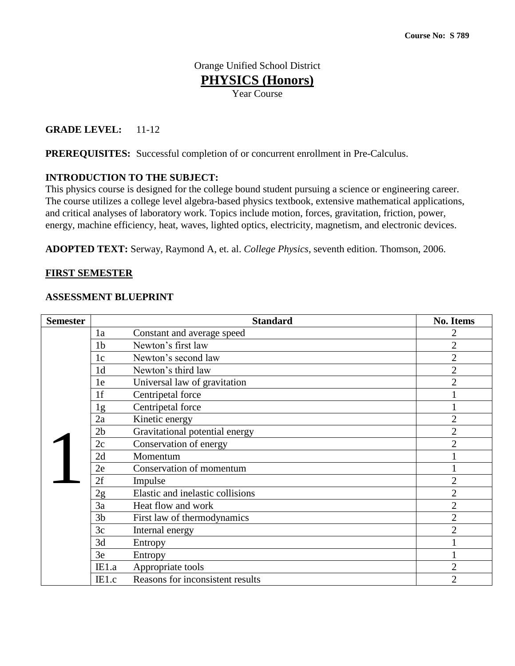# Orange Unified School District **PHYSICS (Honors)** Year Course

## **GRADE LEVEL:** 11-12

**PREREQUISITES:** Successful completion of or concurrent enrollment in Pre-Calculus.

# **INTRODUCTION TO THE SUBJECT:**

This physics course is designed for the college bound student pursuing a science or engineering career. The course utilizes a college level algebra-based physics textbook, extensive mathematical applications, and critical analyses of laboratory work. Topics include motion, forces, gravitation, friction, power, energy, machine efficiency, heat, waves, lighted optics, electricity, magnetism, and electronic devices.

**ADOPTED TEXT:** Serway, Raymond A, et. al. *College Physics,* seventh edition. Thomson, 2006.

#### **FIRST SEMESTER**

#### **ASSESSMENT BLUEPRINT**

| <b>Semester</b> |                | <b>Standard</b>                  | <b>No. Items</b> |
|-----------------|----------------|----------------------------------|------------------|
|                 | 1a             | Constant and average speed       | 2                |
|                 | 1 <sub>b</sub> | Newton's first law               | $\overline{2}$   |
|                 | 1c             | Newton's second law              | $\overline{2}$   |
|                 | 1 <sub>d</sub> | Newton's third law               | $\overline{2}$   |
|                 | 1e             | Universal law of gravitation     | $\overline{2}$   |
|                 | 1f             | Centripetal force                |                  |
|                 | 1g             | Centripetal force                |                  |
|                 | 2a             | Kinetic energy                   | $\overline{2}$   |
|                 | 2 <sub>b</sub> | Gravitational potential energy   | $\overline{2}$   |
|                 | 2c             | Conservation of energy           | $\overline{2}$   |
|                 | 2d             | Momentum                         |                  |
|                 | 2e             | Conservation of momentum         |                  |
|                 | 2f             | Impulse                          | $\overline{2}$   |
|                 | 2g             | Elastic and inelastic collisions | $\overline{2}$   |
|                 | 3a             | Heat flow and work               | $\overline{2}$   |
|                 | 3 <sub>b</sub> | First law of thermodynamics      | $\overline{2}$   |
|                 | 3c             | Internal energy                  | $\overline{2}$   |
|                 | 3d             | Entropy                          |                  |
|                 | 3e             | Entropy                          |                  |
|                 | IE1.a          | Appropriate tools                | $\overline{2}$   |
|                 | IE1.c          | Reasons for inconsistent results | $\overline{2}$   |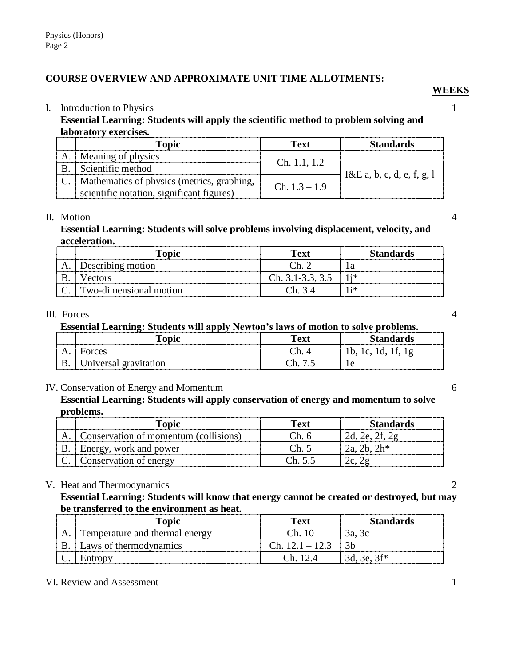# **COURSE OVERVIEW AND APPROXIMATE UNIT TIME ALLOTMENTS:**

#### I. Introduction to Physics 1

**Essential Learning: Students will apply the scientific method to problem solving and laboratory exercises.** 

| Topic                                                                                        | Text            | <b>Standards</b>           |
|----------------------------------------------------------------------------------------------|-----------------|----------------------------|
| A.   Meaning of physics                                                                      | Ch. 1.1, 1.2    |                            |
| Scientific method                                                                            |                 |                            |
| C.   Mathematics of physics (metrics, graphing,<br>scientific notation, significant figures) | Ch. $1.3 - 1.9$ | I&E a, b, c, d, e, f, g, l |

#### II. Motion 4

**Essential Learning: Students will solve problems involving displacement, velocity, and acceleration.** 

| Topic                       | Text                  | <b>Standards</b> |
|-----------------------------|-----------------------|------------------|
| Describing motion           |                       |                  |
| Vectors                     | Ch. $3.1-3.3$ , $3.5$ |                  |
| C.   Two-dimensional motion | l`h ⊰                 | $1:$ *           |

#### III. Forces 4

**Essential Learning: Students will apply Newton's laws of motion to solve problems.**

|                                                             | o<br><br>.      | `ov1    | .<br>       |
|-------------------------------------------------------------|-----------------|---------|-------------|
| $\mathbf{A}$                                                | --------------- | ำเล     | -<br>.      |
| ◡<br><b><i><u><u>Antonin and The Communist</u>y</u></i></b> |                 | $\cdot$ | ----------- |

# IV. Conservation of Energy and Momentum 6

**Essential Learning: Students will apply conservation of energy and momentum to solve problems.**

| l'opic                                | Text  | Standards         |
|---------------------------------------|-------|-------------------|
| Conservation of momentum (collisions) |       |                   |
| Energy, work and power                | (`h   | $2a$ , 2b. $2h^*$ |
| C. Conservation of energy             | (`h ヽ |                   |

#### V. Heat and Thermodynamics 2

**Essential Learning: Students will know that energy cannot be created or destroyed, but may be transferred to the environment as heat.**

| Topic                          | Text                                 | Standards            |
|--------------------------------|--------------------------------------|----------------------|
| Temperature and thermal energy |                                      | 3a. 3c               |
| Laws of thermodynamics         | $\ln 12.1 - 12.3$                    |                      |
|                                | $\mathbf{H} \mathbf{h}$ $\mathbf{H}$ | $\sim$ 3e. 3f*<br>3d |

VI. Review and Assessment 1

**WEEKS**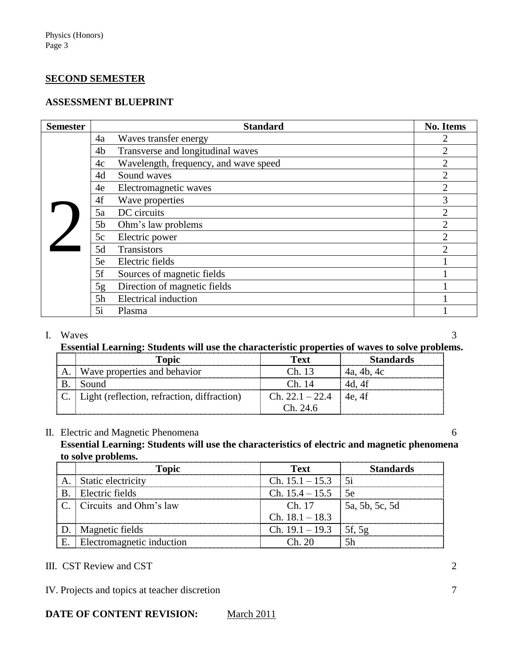# **SECOND SEMESTER**

# **ASSESSMENT BLUEPRINT**

| <b>Semester</b> |                | <b>Standard</b>                       | No. Items                   |
|-----------------|----------------|---------------------------------------|-----------------------------|
|                 | 4a             | Waves transfer energy                 |                             |
|                 | 4 <sub>b</sub> | Transverse and longitudinal waves     | $\overline{2}$              |
|                 | 4c             | Wavelength, frequency, and wave speed | $\mathcal{D}_{\mathcal{L}}$ |
|                 | 4d             | Sound waves                           | $\overline{2}$              |
|                 | 4e             | Electromagnetic waves                 | $\mathfrak{D}_{\cdot}$      |
|                 | 4f             | Wave properties                       | 3                           |
|                 | 5a             | DC circuits                           | $\overline{2}$              |
|                 | 5 <sub>b</sub> | Ohm's law problems                    | $\mathfrak{D}$              |
|                 | 5c             | Electric power                        | 2                           |
|                 | 5d             | Transistors                           | $\mathcal{D}_{\mathcal{L}}$ |
|                 | 5e             | Electric fields                       |                             |
|                 | 5f             | Sources of magnetic fields            |                             |
|                 | 5g             | Direction of magnetic fields          |                             |
|                 | 5h             | <b>Electrical induction</b>           |                             |
|                 | 5i             | Plasma                                |                             |

#### I. Waves 3

# **Essential Learning: Students will use the characteristic properties of waves to solve problems.**

| Topic                                       | Text              | <b>Standards</b> |
|---------------------------------------------|-------------------|------------------|
| Wave properties and behavior                | 'h 1              | 4a, 4b, 4c       |
| Sound                                       | `h ∣              | 4d. 4t           |
| Light (reflection, refraction, diffraction) | Ch. $22.1 - 22.4$ | 4e, 4f           |
|                                             | Ch. 24.6          |                  |

## II. Electric and Magnetic Phenomena 6

**Essential Learning: Students will use the characteristics of electric and magnetic phenomena to solve problems.**

|    | <b>Topic</b>                | <b>Text</b>                | <b>Standards</b> |
|----|-----------------------------|----------------------------|------------------|
|    | Static electricity          | Ch. $15.1 - 15.3$   5i     |                  |
|    | <b>Electric fields</b>      | Ch. $15.4 - 15.5$ 5e       |                  |
|    | $C.$ Circuits and Ohm's law | Ch.17                      | 5a, 5b, 5c, 5d   |
|    |                             | Ch. $18.1 - 18.3$          |                  |
|    | <b>Magnetic fields</b>      | Ch. $19.1 - 19.3$   5f, 5g |                  |
| E. | Electromagnetic induction   | Ch 20                      |                  |

## III. CST Review and CST 2

IV. Projects and topics at teacher discretion 7

### **DATE OF CONTENT REVISION:** March 2011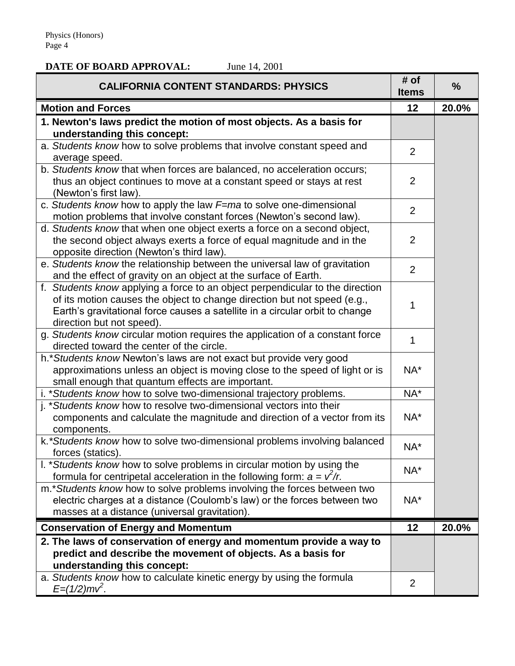# **DATE OF BOARD APPROVAL:** June 14, 2001

| <b>CALIFORNIA CONTENT STANDARDS: PHYSICS</b>                                                                                                                                                                                                                           | # of<br><b>Items</b> | $\frac{0}{0}$ |
|------------------------------------------------------------------------------------------------------------------------------------------------------------------------------------------------------------------------------------------------------------------------|----------------------|---------------|
| <b>Motion and Forces</b>                                                                                                                                                                                                                                               | 12                   | 20.0%         |
| 1. Newton's laws predict the motion of most objects. As a basis for<br>understanding this concept:                                                                                                                                                                     |                      |               |
| a. Students know how to solve problems that involve constant speed and<br>average speed.                                                                                                                                                                               | $\overline{2}$       |               |
| b. Students know that when forces are balanced, no acceleration occurs;<br>thus an object continues to move at a constant speed or stays at rest<br>(Newton's first law).                                                                                              | $\overline{2}$       |               |
| c. Students know how to apply the law F=ma to solve one-dimensional<br>motion problems that involve constant forces (Newton's second law).                                                                                                                             | $\overline{2}$       |               |
| d. Students know that when one object exerts a force on a second object,<br>the second object always exerts a force of equal magnitude and in the<br>opposite direction (Newton's third law).                                                                          | $\overline{2}$       |               |
| e. Students know the relationship between the universal law of gravitation<br>and the effect of gravity on an object at the surface of Earth.                                                                                                                          | $\overline{2}$       |               |
| f. Students know applying a force to an object perpendicular to the direction<br>of its motion causes the object to change direction but not speed (e.g.,<br>Earth's gravitational force causes a satellite in a circular orbit to change<br>direction but not speed). | 1                    |               |
| g. Students know circular motion requires the application of a constant force<br>directed toward the center of the circle.                                                                                                                                             | 1                    |               |
| h.*Students know Newton's laws are not exact but provide very good<br>approximations unless an object is moving close to the speed of light or is<br>small enough that quantum effects are important.                                                                  | $NA^*$               |               |
| i. *Students know how to solve two-dimensional trajectory problems.                                                                                                                                                                                                    | NA*                  |               |
| j. *Students know how to resolve two-dimensional vectors into their<br>components and calculate the magnitude and direction of a vector from its<br>components.                                                                                                        | NA*                  |               |
| k. *Students know how to solve two-dimensional problems involving balanced<br>forces (statics).                                                                                                                                                                        | NA*                  |               |
| I. *Students know how to solve problems in circular motion by using the<br>formula for centripetal acceleration in the following form: $a = \sqrt{r}$ .                                                                                                                | $NA^*$               |               |
| m.* Students know how to solve problems involving the forces between two<br>electric charges at a distance (Coulomb's law) or the forces between two<br>masses at a distance (universal gravitation).                                                                  | NA*                  |               |
| <b>Conservation of Energy and Momentum</b>                                                                                                                                                                                                                             | 12                   | 20.0%         |
| 2. The laws of conservation of energy and momentum provide a way to<br>predict and describe the movement of objects. As a basis for<br>understanding this concept:                                                                                                     |                      |               |
| a. Students know how to calculate kinetic energy by using the formula<br>$E=(1/2) m v^2$ .                                                                                                                                                                             | $\overline{2}$       |               |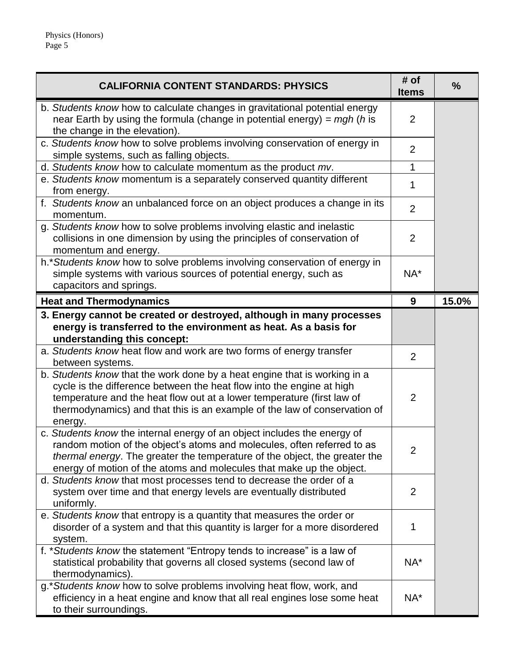| <b>CALIFORNIA CONTENT STANDARDS: PHYSICS</b>                                                                                                                                                                                                                                                                         | # of<br><b>Items</b> | $\frac{0}{0}$ |
|----------------------------------------------------------------------------------------------------------------------------------------------------------------------------------------------------------------------------------------------------------------------------------------------------------------------|----------------------|---------------|
| b. Students know how to calculate changes in gravitational potential energy<br>near Earth by using the formula (change in potential energy) = $mgh$ (h is<br>the change in the elevation).                                                                                                                           | $\overline{2}$       |               |
| c. Students know how to solve problems involving conservation of energy in<br>simple systems, such as falling objects.                                                                                                                                                                                               | $\overline{2}$       |               |
| d. Students know how to calculate momentum as the product mv.                                                                                                                                                                                                                                                        | 1                    |               |
| e. Students know momentum is a separately conserved quantity different<br>from energy.                                                                                                                                                                                                                               | 1                    |               |
| f. Students know an unbalanced force on an object produces a change in its<br>momentum.                                                                                                                                                                                                                              | $\overline{2}$       |               |
| g. Students know how to solve problems involving elastic and inelastic<br>collisions in one dimension by using the principles of conservation of<br>momentum and energy.                                                                                                                                             | $\overline{2}$       |               |
| h.*Students know how to solve problems involving conservation of energy in<br>simple systems with various sources of potential energy, such as<br>capacitors and springs.                                                                                                                                            | NA*                  |               |
| <b>Heat and Thermodynamics</b>                                                                                                                                                                                                                                                                                       | 9                    | 15.0%         |
| 3. Energy cannot be created or destroyed, although in many processes<br>energy is transferred to the environment as heat. As a basis for<br>understanding this concept:                                                                                                                                              |                      |               |
| a. Students know heat flow and work are two forms of energy transfer<br>between systems.                                                                                                                                                                                                                             | $\overline{2}$       |               |
| b. Students know that the work done by a heat engine that is working in a<br>cycle is the difference between the heat flow into the engine at high<br>temperature and the heat flow out at a lower temperature (first law of<br>thermodynamics) and that this is an example of the law of conservation of<br>energy. | $\overline{2}$       |               |
| c. Students know the internal energy of an object includes the energy of<br>random motion of the object's atoms and molecules, often referred to as<br>thermal energy. The greater the temperature of the object, the greater the<br>energy of motion of the atoms and molecules that make up the object.            | $\overline{2}$       |               |
| d. Students know that most processes tend to decrease the order of a<br>system over time and that energy levels are eventually distributed<br>uniformly.                                                                                                                                                             | 2                    |               |
| e. Students know that entropy is a quantity that measures the order or<br>disorder of a system and that this quantity is larger for a more disordered<br>system.                                                                                                                                                     | 1                    |               |
| f. *Students know the statement "Entropy tends to increase" is a law of<br>statistical probability that governs all closed systems (second law of<br>thermodynamics).                                                                                                                                                | NA*                  |               |
| g.*Students know how to solve problems involving heat flow, work, and<br>efficiency in a heat engine and know that all real engines lose some heat<br>to their surroundings.                                                                                                                                         | NA*                  |               |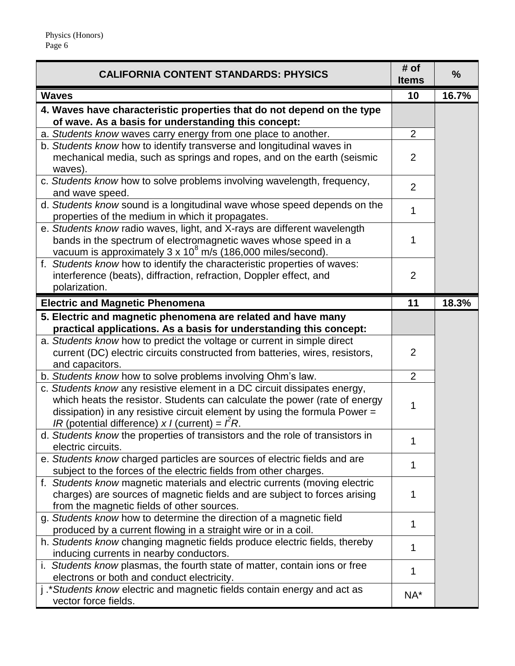| <b>CALIFORNIA CONTENT STANDARDS: PHYSICS</b>                                                                                                                                                                                                                                                                  | # of<br><b>Items</b> | $\frac{9}{6}$ |
|---------------------------------------------------------------------------------------------------------------------------------------------------------------------------------------------------------------------------------------------------------------------------------------------------------------|----------------------|---------------|
| <b>Waves</b>                                                                                                                                                                                                                                                                                                  | 10                   | 16.7%         |
| 4. Waves have characteristic properties that do not depend on the type<br>of wave. As a basis for understanding this concept:                                                                                                                                                                                 |                      |               |
| a. Students know waves carry energy from one place to another.                                                                                                                                                                                                                                                | $\overline{2}$       |               |
| b. Students know how to identify transverse and longitudinal waves in<br>mechanical media, such as springs and ropes, and on the earth (seismic<br>waves).                                                                                                                                                    | $\overline{2}$       |               |
| c. Students know how to solve problems involving wavelength, frequency,<br>and wave speed.                                                                                                                                                                                                                    | $\overline{2}$       |               |
| d. Students know sound is a longitudinal wave whose speed depends on the<br>properties of the medium in which it propagates.                                                                                                                                                                                  | 1                    |               |
| e. Students know radio waves, light, and X-rays are different wavelength<br>bands in the spectrum of electromagnetic waves whose speed in a<br>vacuum is approximately $3 \times 10^8$ m/s (186,000 miles/second).                                                                                            | 1                    |               |
| f. Students know how to identify the characteristic properties of waves:<br>interference (beats), diffraction, refraction, Doppler effect, and<br>polarization.                                                                                                                                               | $\overline{2}$       |               |
| <b>Electric and Magnetic Phenomena</b>                                                                                                                                                                                                                                                                        | 11                   | 18.3%         |
| 5. Electric and magnetic phenomena are related and have many<br>practical applications. As a basis for understanding this concept:                                                                                                                                                                            |                      |               |
| a. Students know how to predict the voltage or current in simple direct<br>current (DC) electric circuits constructed from batteries, wires, resistors,<br>and capacitors.                                                                                                                                    | $\overline{2}$       |               |
| b. Students know how to solve problems involving Ohm's law.                                                                                                                                                                                                                                                   | $\overline{2}$       |               |
| c. Students know any resistive element in a DC circuit dissipates energy,<br>which heats the resistor. Students can calculate the power (rate of energy<br>dissipation) in any resistive circuit element by using the formula Power =<br><i>IR</i> (potential difference) <i>x I</i> (current) = $\hat{f}R$ . | 1                    |               |
| d. Students know the properties of transistors and the role of transistors in<br>electric circuits.                                                                                                                                                                                                           |                      |               |
| e. Students know charged particles are sources of electric fields and are<br>subject to the forces of the electric fields from other charges.                                                                                                                                                                 | 1                    |               |
| f. Students know magnetic materials and electric currents (moving electric<br>charges) are sources of magnetic fields and are subject to forces arising<br>from the magnetic fields of other sources.                                                                                                         | 1                    |               |
| g. Students know how to determine the direction of a magnetic field<br>produced by a current flowing in a straight wire or in a coil.                                                                                                                                                                         | 1                    |               |
| h. Students know changing magnetic fields produce electric fields, thereby<br>inducing currents in nearby conductors.                                                                                                                                                                                         | 1                    |               |
| i. Students know plasmas, the fourth state of matter, contain ions or free<br>electrons or both and conduct electricity.                                                                                                                                                                                      | 1                    |               |
| j.*Students know electric and magnetic fields contain energy and act as<br>vector force fields.                                                                                                                                                                                                               | NA*                  |               |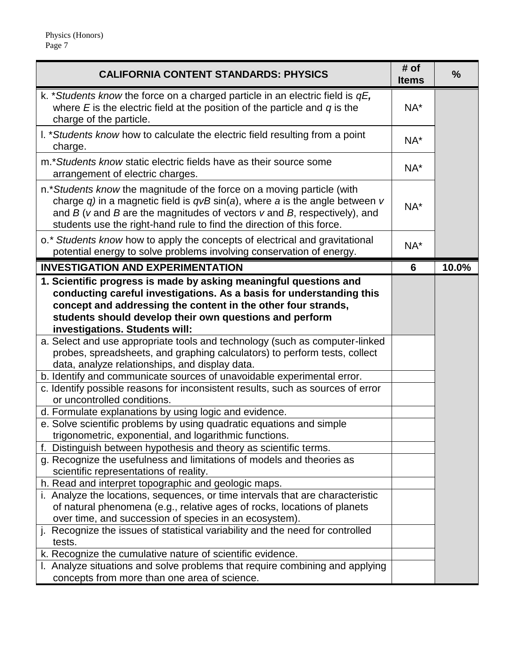| <b>CALIFORNIA CONTENT STANDARDS: PHYSICS</b>                                                                                                                                                                                                                                                                                                                                           | # of<br><b>Items</b> | $\frac{0}{0}$ |
|----------------------------------------------------------------------------------------------------------------------------------------------------------------------------------------------------------------------------------------------------------------------------------------------------------------------------------------------------------------------------------------|----------------------|---------------|
| k. *Students know the force on a charged particle in an electric field is $qE$ ,<br>where $E$ is the electric field at the position of the particle and $q$ is the<br>charge of the particle.                                                                                                                                                                                          | NA*                  |               |
| I. *Students know how to calculate the electric field resulting from a point<br>charge.                                                                                                                                                                                                                                                                                                | NA*                  |               |
| m.*Students know static electric fields have as their source some<br>arrangement of electric charges.                                                                                                                                                                                                                                                                                  | NA*                  |               |
| n.*Students know the magnitude of the force on a moving particle (with<br>charge $q$ ) in a magnetic field is $qvB\sin(a)$ , where a is the angle between v<br>and $B$ ( $v$ and $B$ are the magnitudes of vectors $v$ and $B$ , respectively), and<br>students use the right-hand rule to find the direction of this force.                                                           | NA*                  |               |
| o. * Students know how to apply the concepts of electrical and gravitational<br>potential energy to solve problems involving conservation of energy.                                                                                                                                                                                                                                   | NA*                  |               |
| <b>INVESTIGATION AND EXPERIMENTATION</b>                                                                                                                                                                                                                                                                                                                                               | 6                    | 10.0%         |
| 1. Scientific progress is made by asking meaningful questions and<br>conducting careful investigations. As a basis for understanding this<br>concept and addressing the content in the other four strands,<br>students should develop their own questions and perform<br>investigations. Students will:<br>a. Select and use appropriate tools and technology (such as computer-linked |                      |               |
| probes, spreadsheets, and graphing calculators) to perform tests, collect<br>data, analyze relationships, and display data.                                                                                                                                                                                                                                                            |                      |               |
| b. Identify and communicate sources of unavoidable experimental error.<br>c. Identify possible reasons for inconsistent results, such as sources of error<br>or uncontrolled conditions.                                                                                                                                                                                               |                      |               |
| d. Formulate explanations by using logic and evidence.<br>e. Solve scientific problems by using quadratic equations and simple<br>trigonometric, exponential, and logarithmic functions.                                                                                                                                                                                               |                      |               |
| f. Distinguish between hypothesis and theory as scientific terms.<br>g. Recognize the usefulness and limitations of models and theories as<br>scientific representations of reality.                                                                                                                                                                                                   |                      |               |
| h. Read and interpret topographic and geologic maps.<br>i. Analyze the locations, sequences, or time intervals that are characteristic<br>of natural phenomena (e.g., relative ages of rocks, locations of planets<br>over time, and succession of species in an ecosystem).                                                                                                           |                      |               |
| j. Recognize the issues of statistical variability and the need for controlled<br>tests.<br>k. Recognize the cumulative nature of scientific evidence.                                                                                                                                                                                                                                 |                      |               |
| I. Analyze situations and solve problems that require combining and applying<br>concepts from more than one area of science.                                                                                                                                                                                                                                                           |                      |               |